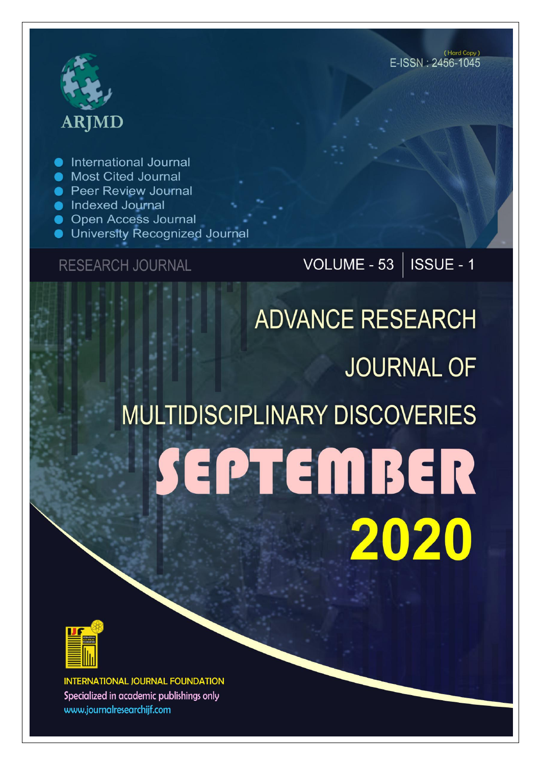# **ARJMD**

International Journal

- Most Cited Journal
- **Peer Review Journal**
- Indexed Journal
- **Open Access Journal**
- University Recognized Journal

### **RESEARCH JOURNAL**

## VOLUME - 53 | ISSUE - 1

# **ADVANCE RESEARCH JOURNAL OF MULTIDISCIPLINARY DISCOVERIES** SEPTEMBER 2020



**INTERNATIONAL JOURNAL FOUNDATION** Specialized in academic publishings only www.journalresearchijf.com

(Hard Copy) E-ISSN: 2456-1045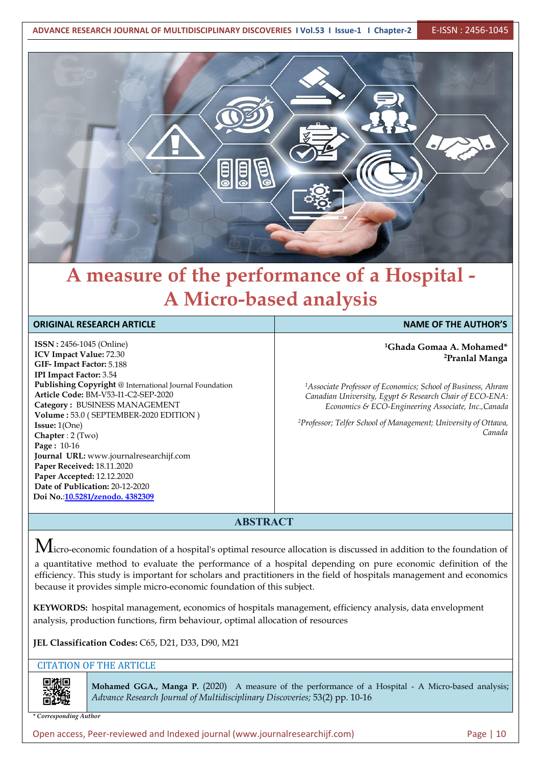

# **A measure of the performance of a Hospital - A Micro-based analysis**

| <b>ORIGINAL RESEARCH ARTICLE</b>                                                                                                                                                                                                                                                                             | <b>NAME OF THE AUTHOR'S</b>                                                                                                                                                                                                                                                                                                                    |  |
|--------------------------------------------------------------------------------------------------------------------------------------------------------------------------------------------------------------------------------------------------------------------------------------------------------------|------------------------------------------------------------------------------------------------------------------------------------------------------------------------------------------------------------------------------------------------------------------------------------------------------------------------------------------------|--|
| <b>ISSN</b> : 2456-1045 (Online)<br><b>ICV Impact Value: 72.30</b><br>GIF-Impact Factor: 5.188<br><b>IPI Impact Factor: 3.54</b><br>Publishing Copyright @ International Journal Foundation<br>Article Code: BM-V53-I1-C2-SEP-2020<br>Category: BUSINESS MANAGEMENT<br>Volume: 53.0 (SEPTEMBER-2020 EDITION) | <sup>1</sup> Ghada Gomaa A. Mohamed*<br><sup>2</sup> Pranlal Manga<br><sup>1</sup> Associate Professor of Economics; School of Business, Ahram<br>Canadian University, Egypt & Research Chair of ECO-ENA:<br>Economics & ECO-Engineering Associate, Inc., Canada<br><sup>2</sup> Professor; Telfer School of Management; University of Ottawa, |  |
| <b>Issue:</b> $1(One)$<br>Chapter : $2$ (Two)<br><b>Page:</b> $10-16$<br>Journal URL: www.journalresearchijf.com<br>Paper Received: 18.11.2020<br>Paper Accepted: 12.12.2020<br>Date of Publication: 20-12-2020<br>Doi No.:10.5281/zenodo. 4382309                                                           | Canada                                                                                                                                                                                                                                                                                                                                         |  |

#### **ABSTRACT**

 $M$ icro-economic foundation of a hospital's optimal resource allocation is discussed in addition to the foundation of

a quantitative method to evaluate the performance of a hospital depending on pure economic definition of the efficiency. This study is important for scholars and practitioners in the field of hospitals management and economics because it provides simple micro-economic foundation of this subject.

**KEYWORDS:** hospital management, economics of hospitals management, efficiency analysis, data envelopment analysis, production functions, firm behaviour, optimal allocation of resources

**JEL Classification Codes:** C65, D21, D33, D90, M21

CITATION OF THE ARTICLE

同科庫

**Mohamed GGA., Manga P.** (2020) A measure of the performance of a Hospital - A Micro-based analysis; *Advance Research Journal ofMultidisciplinary Discoveries;* 53(2) pp. 10-16

*\* Corresponding Author*

Open access, Peer-reviewed and Indexed journal (www.journalresearchijf.com) Page | 10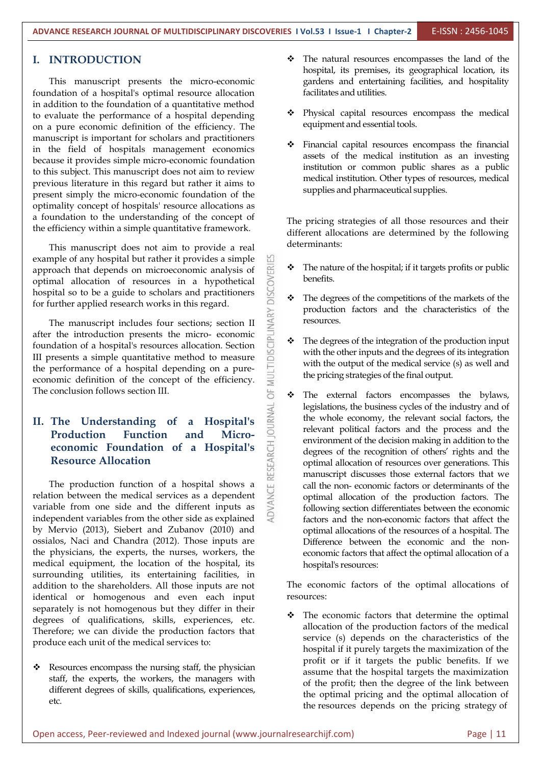#### **I. INTRODUCTION**

This manuscript presents the micro-economic foundation of a hospital's optimal resource allocation in addition to the foundation of a quantitative method to evaluate the performance of a hospital depending on a pure economic definition of the efficiency. The manuscript is important for scholars and practitioners in the field of hospitals management economics because it provides simple micro-economic foundation to this subject. This manuscript does not aim to review previous literature in this regard but rather it aims to present simply the micro-economic foundation of the optimality concept of hospitals' resource allocations as a foundation to the understanding of the concept of the efficiency within a simple quantitative framework.

This manuscript does not aim to provide a real example of any hospital but rather it provides a simple<br>approach that depends on microeconomic analysis of<br>optimal allocation of resources in a hypothetical<br>hospital so to be a guide to scholars and practitioners<br>for furth approach that depends on microeconomic analysis of optimal allocation of resources in a hypothetical hospital so to be a guide to scholars and practitioners

for further applied research works in this regard.<br>
The manuscript includes four sections; section II<br>
after the introduction presents the micro-economic<br>
foundation of a hospital's resources allocation. Section The manuscript includes four sections; section II after the introduction presents the micro- economic foundation of a hospital's resources allocation. Section III presents a simple quantitative method to measure<br>the performance of a hospital depending on a pure-<br>economic definition of the concept of the efficiency. the performance of a hospital depending on a pure economic definition of the concept of the efficiency. The conclusion follows section III.

# **II. The Understanding of a Hospital's economic Foundation of a Hospital's Resource Allocation**

**Production Function and Micro-**<br> **economic Foundation of a Hospital's**<br> **Resource Allocation**<br>
The production function of a hospital shows a<br>
tion between the medical services as a dependent<br>
able from one side and The production function of a hospital shows a relation between the medical services as a dependent variable from one side and the different inputs as independent variables from the other side as explained by Mervio (2013), Siebert and Zubanov (2010) and ossialos, Naci and Chandra (2012). Those inputs are **Difference** between the economic and the nonthe physicians, the experts, the nurses, workers, the medical equipment, the location of the hospital, its surrounding utilities, its entertaining facilities, in addition to the shareholders. All those inputs are not identical or homogenous and even each input separately is not homogenous but they differ in their degrees of qualifications, skills, experiences, etc. Therefore; we can divide the production factors that produce each unit of the medical services to:

 Resources encompass the nursing staff, the physician staff, the experts, the workers, the managers with different degrees of skills, qualifications, experiences, etc.

- The natural resources encompasses the land of the hospital, its premises, its geographical location, its gardens and entertaining facilities, and hospitality facilitates and utilities.
- Physical capital resources encompass the medical equipment and essential tools.
- Financial capital resources encompass the financial assets of the medical institution as an investing institution or common public shares as a public medical institution. Other types of resources, medical supplies and pharmaceutical supplies.

The pricing strategies of all those resources and their different allocations are determined by the following determinants:

- The nature of the hospital; if it targets profits or public benefits.
- $\cdot \cdot$  The degrees of the competitions of the markets of the production factors and the characteristics of the resources.
- $\cdot \cdot$  The degrees of the integration of the production input with the other inputs and the degrees of its integration with the output of the medical service (s) as well and the pricing strategies of the final output.
- The external factors encompasses the bylaws, legislations, the business cycles of the industry and of the whole economy, the relevant social factors, the relevant political factors and the process and the environment of the decision making in addition to the degrees of the recognition of others' rights and the optimal allocation of resources over generations. This manuscript discusses those external factors that we call the non- economic factors or determinants of the optimal allocation of the production factors. The following section differentiates between the economic factors and the non-economic factors that affect the optimal allocations of the resources of a hospital. The economic factors that affect the optimal allocation of a hospital's resources:

The economic factors of the optimal allocations of resources:

 The economic factors that determine the optimal allocation of the production factors of the medical service (s) depends on the characteristics of the hospital if it purely targets the maximization of the profit or if it targets the public benefits. If we assume that the hospital targets the maximization of the profit; then the degree of the link between the optimal pricing and the optimal allocation of the resources depends on the pricing strategy of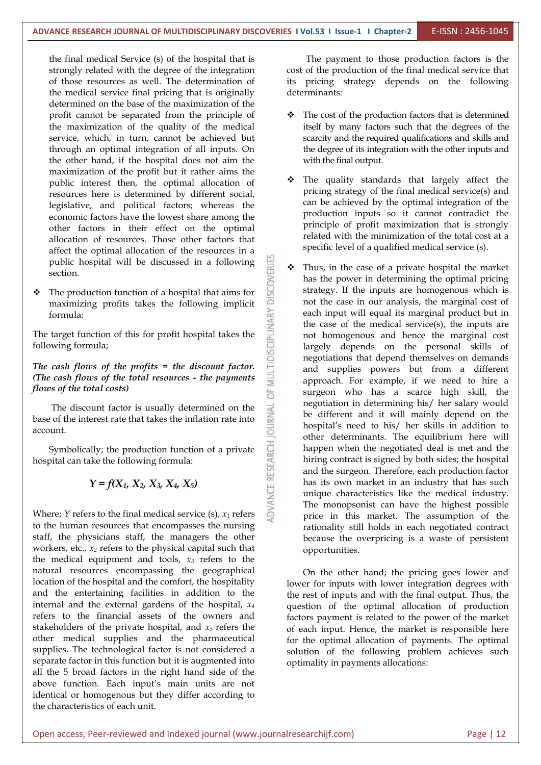5

the final medical Service (s) of the hospital that is strongly related with the degree of the integration of those resources as well. The determination of the medical service final pricing that is originally determined on the base of the maximization of the profit cannot be separated from the principle of the maximization of the quality of the medical service, which, in turn, cannot be achieved but through an optimal integration of all inputs. On the other hand, if the hospital does not aim the maximization of the profit but it rather aims the public interest then, the optimal allocation of resources here is determined by different social, legislative, and political factors; whereas the economic factors have the lowest share among the other factors in their effect on the optimal allocation of resources. Those other factors that public hospital will be discussed in a following section.

affect the optimal allocation of the resources in a<br>public hospital will be discussed in a following<br>section.<br>The production function of a hospital that aims for<br>maximizing profits takes the following implicit<br>formula:<br>ta  $\div$  The production function of a hospital that aims for maximizing profits takes the following implicit formula:

The target function of this for profit hospital takes the following formula;

#### *The cash flows of the profits = the discount factor. (The cash flows of the total resources - the payments flows of the total costs)*

The discount factor is usually determined on the<br>of the interest rate that takes the inflation rate into<br>unt.<br>Symbolically; the production function of a private<br>ital can take the following formula:<br> $Y = f(X_1, X_2, X_3, X_4, X_5$ base of the interest rate that takes the inflation rate into account.

Symbolically; the production function of a private hospital can take the following formula:

#### *Y = f(X1, X2, X3, X4, X5)*

Where; *Y* refers to the final medical service (s), *x<sup>1</sup>* refers to the human resources that encompasses the nursing staff, the physicians staff, the managers the other workers, etc., *x<sup>2</sup>* refers to the physical capital such that the medical equipment and tools, *x<sup>3</sup>* refers to the natural resources encompassing the geographical location of the hospital and the comfort, the hospitality and the entertaining facilities in addition to the internal and the external gardens of the hospital, *x<sup>4</sup>* refers to the financial assets of the owners and stakeholders of the private hospital, and *x<sup>5</sup>* refers the other medical supplies and the pharmaceutical supplies. The technological factor is not considered a separate factor in this function but it is augmented into all the 5 broad factors in the right hand side of the above function. Each input's main units are not identical or homogenous but they differ according to the characteristics of each unit.

The payment to those production factors is the cost of the production of the final medical service that its pricing strategy depends on the following determinants:

- \* The cost of the production factors that is determined itself by many factors such that the degrees of the scarcity and the required qualifications and skills and the degree of its integration with the other inputs and with the final output.
- \* The quality standards that largely affect the pricing strategy of the final medical service(s) and can be achieved by the optimal integration of the production inputs so it cannot contradict the principle of profit maximization that is strongly related with the minimization of the total cost at a specific level of a qualified medical service (s).
- Thus, in the case of a private hospital the market has the power in determining the optimal pricing strategy. If the inputs are homogenous which is not the case in our analysis, the marginal cost of each input will equal its marginal product but in the case of the medical service(s), the inputs are not homogenous and hence the marginal cost largely depends on the personal skills of negotiations that depend themselves on demands and supplies powers but from a different approach. For example, if we need to hire a surgeon who has a scarce high skill, the negotiation in determining his/ her salary would be different and it will mainly depend on the hospital's need to his/ her skills in addition to other determinants. The equilibrium here will happen when the negotiated deal is met and the hiring contract is signed by both sides; the hospital and the surgeon. Therefore, each production factor has its own market in an industry that has such unique characteristics like the medical industry. The monopsonist can have the highest possible price in this market. The assumption of the rationality still holds in each negotiated contract because the overpricing is a waste of persistent opportunities.

On the other hand; the pricing goes lower and lower for inputs with lower integration degrees with the rest of inputs and with the final output. Thus, the question of the optimal allocation of production factors payment is related to the power of the market of each input. Hence, the market is responsible here for the optimal allocation of payments. The optimal solution of the following problem achieves such optimality in payments allocations: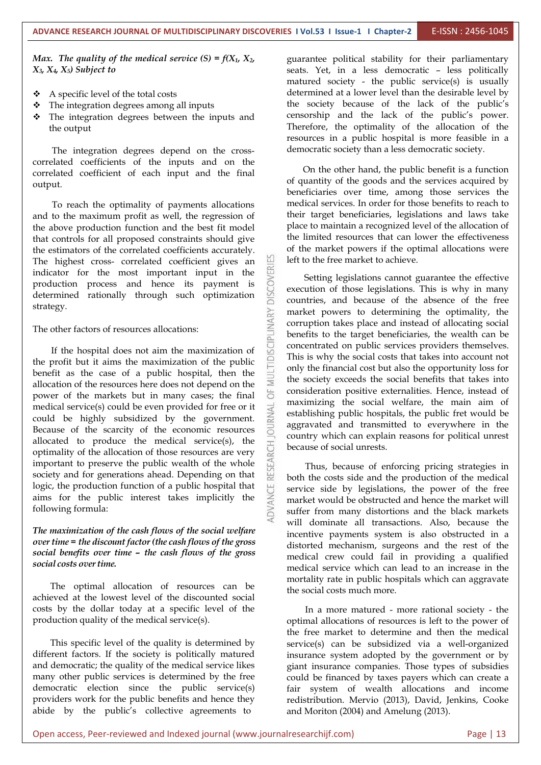*Max. The quality of the medical service*  $(S) = f(X_1, X_2,$ *X3, X4, X5) Subject to*

- A specific level of the total costs
- $\triangle$  The integration degrees among all inputs
- The integration degrees between the inputs and the output

The integration degrees depend on the cross correlated coefficients of the inputs and on the correlated coefficient of each input and the final output.

To reach the optimality of payments allocations and to the maximum profit as well, the regression of the above production function and the best fit model that controls for all proposed constraints should give the estimators of the correlated coefficients accurately.<br>The highest cross- correlated coefficient gives an The highest cross- correlated coefficient gives an indicator for the most important input in the production process and hence its payment is determined rationally through such optimization indicator for the most important input in the production process and hence its payment is determined rationally through such optimization strategy.

The other factors of resources allocations:

Example 19 and the hospital does not aim the maximization of<br>If the hospital does not aim the maximization of<br>profit but it aims the maximization of the public<br>efit as the case of a public hospital, then the<br>cation of the the profit but it aims the maximization of the public benefit as the case of a public hospital, then the allocation of the resources here does not depend on the power of the markets but in many cases: the final power of the markets but in many cases; the final medical service(s) could be even provided for free or it<br>could be highly subsidized by the government.<br>Because of the scarcity of the economic resources could be highly subsidized by the government. Because of the scarcity of the economic resources allocated to produce the medical service(s), the optimality of the allocation of those resources are very important to preserve the public wealth of the whole society and for generations ahead. Depending on that optimality of the allocation of those resources are very important to preserve the public wealth of the whole society and for generations ahead. Depending on that logic, the production function of a public hospital that aims for the public interest takes implicitly the following formula:

#### *The maximization of the cash flows of the social welfare overtime = the discount factor (the cash flows of the gross social benefits over time – the cash flows of the gross social costs overtime.*

The optimal allocation of resources can be achieved at the lowest level of the discounted social costs by the dollar today at a specific level of the production quality of the medical service(s).

This specific level of the quality is determined by different factors. If the society is politically matured and democratic; the quality of the medical service likes many other public services is determined by the free democratic election since the public service(s) providers work for the public benefits and hence they abide by the public's collective agreements to

guarantee political stability for their parliamentary seats. Yet, in a less democratic – less politically matured society - the public service(s) is usually determined at a lower level than the desirable level by the society because of the lack of the public's censorship and the lack of the public's power. Therefore, the optimality of the allocation of the resources in a public hospital is more feasible in a democratic society than a less democratic society.

On the other hand, the public benefit is a function of quantity of the goods and the services acquired by beneficiaries over time, among those services the medical services. In order for those benefits to reach to their target beneficiaries, legislations and laws take place to maintain a recognized level of the allocation of the limited resources that can lower the effectiveness of the market powers if the optimal allocations were left to the free market to achieve.

Setting legislations cannot guarantee the effective execution of those legislations. This is why in many countries, and because of the absence of the free market powers to determining the optimality, the corruption takes place and instead of allocating social benefits to the target beneficiaries, the wealth can be concentrated on public services providers themselves. This is why the social costs that takes into account not only the financial cost but also the opportunity loss for the society exceeds the social benefits that takes into consideration positive externalities. Hence, instead of maximizing the social welfare, the main aim of establishing public hospitals, the public fret would be aggravated and transmitted to everywhere in the country which can explain reasons for political unrest because of social unrests.

Thus, because of enforcing pricing strategies in both the costs side and the production of the medical service side by legislations, the power of the free market would be obstructed and hence the market will suffer from many distortions and the black markets will dominate all transactions. Also, because the incentive payments system is also obstructed in a distorted mechanism, surgeons and the rest of the medical crew could fail in providing a qualified medical service which can lead to an increase in the mortality rate in public hospitals which can aggravate the social costs much more.

In a more matured - more rational society - the optimal allocations of resources is left to the power of the free market to determine and then the medical service(s) can be subsidized via a well-organized insurance system adopted by the government or by giant insurance companies. Those types of subsidies could be financed by taxes payers which can create a fair system of wealth allocations and income redistribution. Mervio (2013), David, Jenkins, Cooke and Moriton (2004) and Amelung (2013).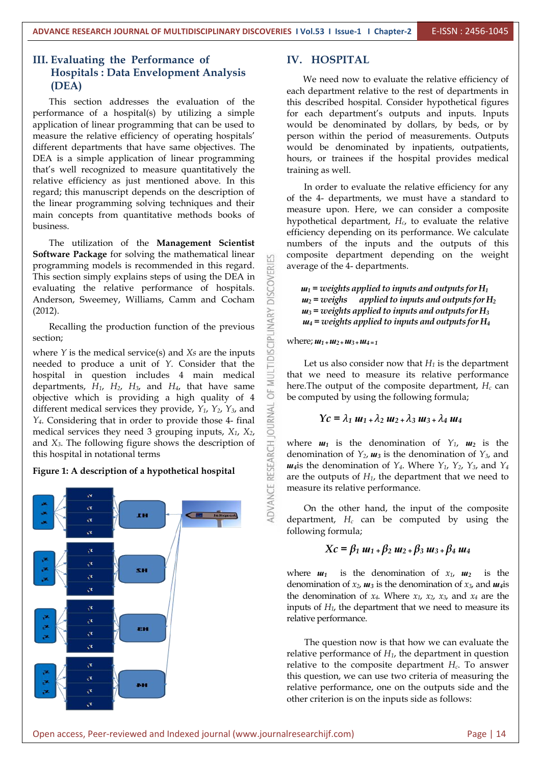#### **III. Evaluating the Performance of Hospitals : Data Envelopment Analysis (DEA)**

This section addresses the evaluation of the performance of a hospital(s) by utilizing a simple application of linear programming that can be used to measure the relative efficiency of operating hospitals' different departments that have same objectives. The DEA is a simple application of linear programming that's well recognized to measure quantitatively the relative efficiency as just mentioned above. In this regard; this manuscript depends on the description of the linear programming solving techniques and their main concepts from quantitative methods books of business.

The utilization of the **Management Scientist Software Package** for solving the mathematical linear programming models is recommended in this regard.<br>This section simply explains steps of using the DEA in<br>evaluating the relative performance of hospitals.<br>Anderson, Sweemey, Williams, Camm and Cocham evaluating the relative performance of hospitals. Anderson, Sweemey, Williams, Camm and Cocham (2012).

12).<br>Recalling the production function of the previous  $\sum_{\substack{n=1 \ n \text{odd}}}^{\infty}$ section;

where *Y* is the medical service(s) and *Xs* are the inputs<br>needed to produce a unit of *Y*. Consider that the<br>hospital in question includes 4 main medical<br>dependence *H*, *H*, *H*, and *H*, that have served needed to produce a unit of *Y*.Consider that the hospital in question includes 4 main medical departments,  $H_1$ ,  $H_2$ ,  $H_3$ , and  $H_4$ , that have same  $\stackrel{\geq}{\sim}$  objective which is providing a high quality of 4 objective which is providing a high quality of 4 different medical services they provide,  $Y_1$ ,  $Y_2$ ,  $Y_3$ , and  $Y_4$ . Considering that in order to provide those 4- final different medical services they provide, *Y1*, *Y2*, *Y3*, and *Y4*. Considering that in order to provide those 4- final medical services they need 3 grouping inputs, *X1*, *X2*, this hospital in notational terms

#### **Figure 1: A description of a hypothetical hospital**



#### **IV. HOSPITAL**

We need now to evaluate the relative efficiency of each department relative to the rest of departments in this described hospital. Consider hypothetical figures for each department's outputs and inputs. Inputs would be denominated by dollars, by beds, or by person within the period of measurements. Outputs would be denominated by inpatients, outpatients, hours, or trainees if the hospital provides medical training as well.

In order to evaluate the relative efficiency for any of the 4- departments, we must have a standard to measure upon. Here, we can consider a composite hypothetical department, *Hc*, to evaluate the relative efficiency depending on its performance. We calculate numbers of the inputs and the outputs of this composite department depending on the weight average of the 4- departments.

 $u_1$  = *weights* applied to *inputs* and *outputs* for  $H_1$  $u_2$  = *weighs* applied to *inputs* and *outputs* for  $H_2$  $u_3$  = *weights* applied to *inputs* and *outputs* for  $H_3$ *ɯ<sup>4</sup> = weights applied to inputs and outputs for H<sup>4</sup>*

#### where; *ɯ<sup>1</sup> <sup>+</sup>ɯ2+ɯ3+ɯ<sup>4</sup> <sup>=</sup> <sup>1</sup>*

Let us also consider now that  $H_1$  is the department that we need to measure its relative performance here.The output of the composite department, *H<sup>c</sup>* can be computed by using the following formula;

$$
Yc = \lambda_1 \, u_1 + \lambda_2 \, u_2 + \lambda_3 \, u_3 + \lambda_4 \, u_4
$$

where  $u_1$  is the denomination of  $Y_1$ ,  $u_2$  is the denomination of  $Y_2$ ,  $u_3$  is the denomination of  $Y_3$ , and *u*<sub>4</sub>is the denomination of  $Y_4$ . Where  $Y_1$ ,  $Y_2$ ,  $Y_3$ , and  $Y_4$ are the outputs of  $H_1$ , the department that we need to measure its relative performance.

On the other hand, the input of the composite department,  $H_c$  can be computed by using the following formula;

$$
Xc = \beta_1 \, u_1 + \beta_2 \, u_2 + \beta_3 \, u_3 + \beta_4 \, u_4
$$

where  $u_1$  is the denomination of  $x_1$ ,  $u_2$  is the denomination of  $x_2$ ,  $u_3$  is the denomination of  $x_3$ , and  $u_4$  is the denomination of  $x_4$ . Where  $x_1$ ,  $x_2$ ,  $x_3$ , and  $x_4$  are the inputs of  $H_1$ , the department that we need to measure its relative performance.

The question now is that how we can evaluate the relative performance of  $H_1$ , the department in question relative to the composite department *Hc*. To answer this question, we can use two criteria of measuring the relative performance, one on the outputs side and the other criterion is on the inputs side as follows: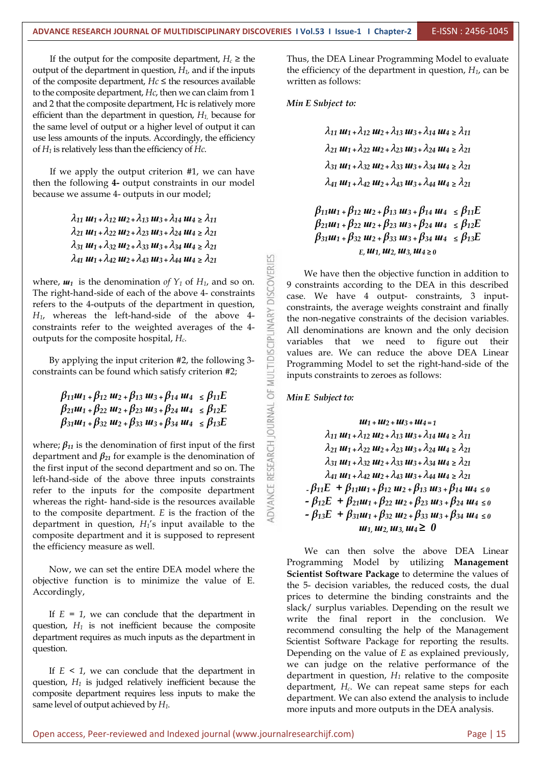If the output for the composite department,  $H_c \geq$  the output of the department in question, *H1,* and if the inputs of the composite department,  $Hc \leq$  the resources available to the composite department, *Hc*, then we can claim from 1 and 2 that the composite department, Hc is relatively more efficient than the department in question, *H<sup>1</sup>*, because for the same level of output or a higher level of output it can use less amounts of the inputs. Accordingly, the efficiency of *H*<sub>1</sub> is relatively less than the efficiency of *Hc*.<br>If we apply the output criterion #1, we can have

then the following **4-** output constraints in our model because we assume 4- outputs in our model;

> $\lambda_{11}$   $\boldsymbol{u}_{1}$  +  $\lambda_{12}$   $\boldsymbol{u}_{2}$  +  $\lambda_{13}$   $\boldsymbol{u}_{3}$  +  $\lambda_{14}$   $\boldsymbol{u}_{4}$   $\geq \lambda_{11}$  $\lambda_{21}$   $u_1 + \lambda_{22}$   $u_2 + \lambda_{23}$   $u_3 + \lambda_{24}$   $u_4 \ge \lambda_{21}$  $\lambda_{31}$   $u_1 + \lambda_{32}$   $u_2 + \lambda_{33}$   $u_3 + \lambda_{34}$   $u_4 \ge \lambda_{21}$

 $\lambda_{41}$   $u_1 + \lambda_{42}$   $u_2 + \lambda_{43}$   $u_3 + \lambda_{44}$   $u_4 \ge \lambda_{21}$ <br>
<sup>1</sup> is the denomination of  $Y_1$  of  $H_1$ , and so on.<br>  $\geq$   $\geq$   $\geq$   $\geq$   $\geq$   $\geq$   $\geq$   $\geq$   $\geq$   $\geq$   $\geq$   $\geq$   $\geq$   $\geq$   $\geq$   $\geq$   $\geq$  where,  $\boldsymbol{u}_1$  is the denomination *of*  $Y_1$  of  $H_1$ , and so on. The right-hand-side of each of the above 4- constraints refers to the 4-outputs of the department in question,<br>  $H_1$ , whereas the left-hand-side of the above 4-<br>
constraints refer to the weighted averages of the 4-<br>
outputs for the composite hospital,  $H_c$ .<br>
By applying the i *H1*, whereas the left-hand-side of the above 4 constraints refer to the weighted averages of the 4 outputs for the composite hospital, *Hc.*

By applying the input criterion #2, the following 3constraints can be found which satisfy criterion #2;

> $\beta_{21}u_1 + \beta_{22}u_2 + \beta_{23}u_3 + \beta_{24}u_4 \leq \beta_{12}E$  $\beta_{31}u_1 + \beta_{32}u_2 + \beta_{33}u_3 + \beta_{34}u_4 \leq \beta_{13}E$

 $\beta_{11}u_{1} + \beta_{12}u_{2} + \beta_{13}u_{3} + \beta_{14}u_{4} \leq \beta_{11}E$ <br>  $\beta_{21}u_{1} + \beta_{22}u_{2} + \beta_{23}u_{3} + \beta_{24}u_{4} \leq \beta_{12}E$ <br>  $\beta_{31}u_{1} + \beta_{32}u_{2} + \beta_{33}u_{3} + \beta_{34}u_{4} \leq \beta_{13}E$ <br>  $\vdots \beta_{11}$  is the denomination of first input of where;  $\beta_{11}$  is the denomination of first input of the first department and *β<sup>21</sup>* for example is the denomination of the first input of the second department and so on. The left-hand-side of the above three inputs constraints refer to the inputs for the composite department whereas the right- hand-side is the resources available to the composite department. *E* is the fraction of the department in question, *H1*'s input available to the composite department and it is supposed to represent the efficiency measure as well.

Now, we can set the entire DEA model where the objective function is to minimize the value of E.Accordingly,

If  $E = 1$ , we can conclude that the department in question, *H<sup>1</sup>* is not inefficient because the composite department requires as much inputs as the department in question.

If  $E \leq 1$ , we can conclude that the department in question, *H<sup>1</sup>* is judged relatively inefficient because the composite department requires less inputs to make the same level of output achieved by *H1*.

Thus, the DEA Linear Programming Model to evaluate the efficiency of the department in question, *H1*, can be written as follows:

*Min E Subject to:*

 $\lambda_{11}$   $\mathbf{u}_{1}$  +  $\lambda_{12}$   $\mathbf{u}_{2}$  +  $\lambda_{13}$   $\mathbf{u}_{3}$  +  $\lambda_{14}$   $\mathbf{u}_{4}$   $\geq \lambda_{11}$  $\lambda_{21}$   $u_1 + \lambda_{22}$   $u_2 + \lambda_{23}$   $u_3 + \lambda_{24}$   $u_4 \ge \lambda_{21}$ *<sup>31</sup> ɯ<sup>1</sup> <sup>+</sup> 32ɯ<sup>2</sup> <sup>+</sup> 33ɯ<sup>3</sup> <sup>+</sup> 34ɯ<sup>4</sup> <sup>≥</sup> <sup>21</sup>*  $\lambda_{41}$   $\mu_{1}$  +  $\lambda_{42}$   $\mu_{2}$  +  $\lambda_{43}$   $\mu_{3}$  +  $\lambda_{44}$   $\mu_{4}$   $\geq \lambda_{21}$ 

 $\beta_{11}u_1 + \beta_{12}u_2 + \beta_{13}u_3 + \beta_{14}u_4 \leq \beta_{11}E$  $\beta_{21}u_1 + \beta_{22}u_2 + \beta_{23}u_3 + \beta_{24}u_4 \leq \beta_{12}E$  $\beta_{31}u_1 + \beta_{32}u_2 + \beta_{33}u_3 + \beta_{34}u_4 \le \beta_{13}E$ *E,ɯ1,ɯ2, ɯ3,ɯ<sup>4</sup> <sup>≥</sup> <sup>0</sup>*

We have then the objective function in addition to 9 constraints according to the DEA in this described case. We have 4 output- constraints, 3 input constraints, the average weights constraint and finally the non-negative constraints of the decision variables. All denominations are known and the only decision variables that we need to figure out their values are. We can reduce the above DEA Linear Programming Model to set the right-hand-side of the inputs constraints to zeroes as follows:

*Min* **E** *Subject to:* 

 $UU_1 + U_2 + U_3 + U_4 = 1$  $\lambda_{11}$   $\mu_{11}$  +  $\lambda_{12}$   $\mu_{2}$  +  $\lambda_{13}$   $\mu_{3}$  +  $\lambda_{14}$   $\mu_{4}$  >  $\lambda_{11}$  $\lambda_{21}$   $u_1 + \lambda_{22}$   $u_2 + \lambda_{23}$   $u_3 + \lambda_{24}$   $u_4 \ge \lambda_{21}$  $\lambda_{31}$   $u_1 + \lambda_{32}$   $u_2 + \lambda_{33}$   $u_3 + \lambda_{34}$   $u_4 \ge \lambda_{21}$  $\lambda_{41}$   $u_1 + \lambda_{42}$   $u_2 + \lambda_{43}$   $u_3 + \lambda_{44}$   $u_4 \ge \lambda_{21}$  $-\beta_{11}E + \beta_{11}u_{1} + \beta_{12}u_{2} + \beta_{13}u_{3} + \beta_{14}u_{4} \leq 0$  $-\beta_{12}E + \beta_{21}u_{1} + \beta_{22}u_{2} + \beta_{23}u_{3} + \beta_{24}u_{4} \leq 0$  $-\beta_{13}E + \beta_{31}u_{1} + \beta_{32}u_{2} + \beta_{33}u_{3} + \beta_{34}u_{4} \leq 0$  $u_1, u_2, u_3, u_4 \geq 0$ 

We can then solve the above DEA Linear Programming Model by utilizing **Management Scientist Software Package** to determine the values of the 5- decision variables, the reduced costs, the dual prices to determine the binding constraints and the slack/ surplus variables. Depending on the result we write the final report in the conclusion. We recommend consulting the help of the Management Scientist Software Package for reporting the results. Depending on the value of *E* as explained previously, we can judge on the relative performance of the department in question, *H<sup>1</sup>* relative to the composite department, *Hc*. We can repeat same steps for each department. We can also extend the analysis to include more inputs and more outputs in the DEA analysis.